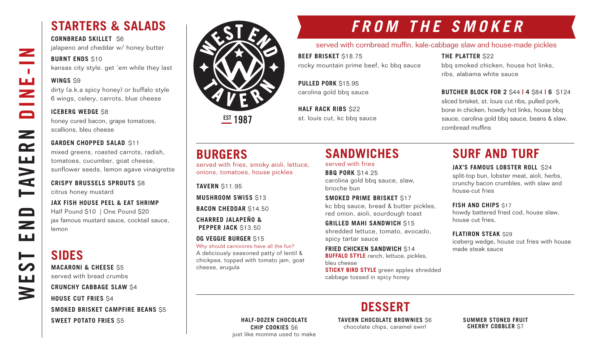### **STARTERS & SALADS**

**CORNBREAD SKILLET** \$6 jalapeno and cheddar w/ honey butter

### **BURNT ENDS \$10**

kansas city style. get 'em while they last

### **WINGS** \$9

WEST END TAVERN DINE-IN

Z

 $\sim 10$ 

ш<br>Z

 $\Box$ 

 $\mathbf{z}$ 

 $\mathbf{r}$ 

**AVE** 

 $\qquad \qquad \Box$ 

 $\overline{\phantom{0}}$ ш

⊨

щ

3

dirty (a.k.a spicy honey) or buffalo style 6 wings, celery, carrots, blue cheese

### **ICEBERG WEDGE \$8**

honey cured bacon, grape tomatoes, scallions, bleu cheese

#### **GARDEN CHOPPED SALAD \$11**

mixed greens, roasted carrots, radish, tomatoes, cucumber, goat cheese, sunflower seeds, lemon agave vinaigrette

### **CRISPY BRUSSELS SPROUTS** \$8 citrus honey mustard

**JAX FISH HOUSE PEEL & EAT SHRIMP** Half Pound \$10 | One Pound \$20 jax famous mustard sauce, cocktail sauce, lemon

## **SIDES**

**MACARONI & CHEESE** \$5 served with bread crumbs

**CRUNCHY CABBAGE SLAW** \$4 **HOUSE CUT FRIES** \$4 **SMOKED BRISKET CAMPFIRE BEANS** \$5

**SWEET POTATO FRIES** \$5



**EST 1987** 

served with fries, smoky aioli, lettuce, onions, tomatoes, house pickles

**BURGERS**

**TAVERN** \$11.95

cheese, arugula

**MUSHROOM SWISS** \$13

**BACON CHEDDAR** \$14.50 **CHARRED JALAPEÑO & PEPPER JACK \$13.50 OG VEGGIE BURGER** \$15

Why should carnivores have all the fun? A deliciously seasoned patty of lentil & chickpea, topped with tomato jam, goat

# **FROM THE SMOKER**

### served with cornbread muffin, kale-cabbage slaw and house-made pickles

**BEEF BRISKET** \$18.75 rocky mountain prime beef, kc bbq sauce

bbq smoked chicken, house hot links, ribs, alabama white sauce

**BUTCHER BLOCK FOR 2** \$44 **| 4** \$84 **| 6** \$124 sliced brisket, st. louis cut ribs, pulled pork, bone in chicken, howdy hot links, house bbq sauce, carolina gold bbq sauce, beans & slaw,

**THE PLATTER** \$22

cornbread muffins

**PULLED PORK** \$15.95 carolina gold bbq sauce

**HALF RACK RIBS \$22** st. louis cut, kc bbq sauce

# **SANDWICHES**

served with fries

**BBQ PORK** \$14.25 carolina gold bbq sauce, slaw, brioche bun

**SMOKED PRIME BRISKET** \$17 kc bbq sauce, bread & butter pickles, red onion, aioli, sourdough toast

**GRILLED MAHI SANDWICH** \$15 shredded lettuce, tomato, avocado, spicy tartar sauce

**FRIED CHICKEN SANDWICH S14 BUFFALO STYLE** ranch, lettuce, pickles, bleu cheese

**STICKY BIRD STYLE** green apples shredded cabbage tossed in spicy honey

# **SURF AND TURF**

### **JAX'S FAMOUS LOBSTER ROLL \$24**

split-top bun, lobster meat, aioli, herbs, crunchy bacon crumbles, with slaw and house-cut fries

**FISH AND CHIPS \$17** 

howdy battered fried cod, house slaw, house cut fries,

**FLATIRON STEAK** \$29

iceberg wedge, house cut fries with house made steak sauce

**HALF-DOZEN CHOCOLATE CHIP COOKIES** \$6 just like momma used to make **TAVERN CHOCOLATE BROWNIES** \$6 chocolate chips, caramel swirl

**DESSERT**

**SUMMER STONED FRUIT CHERRY COBBLER** \$7